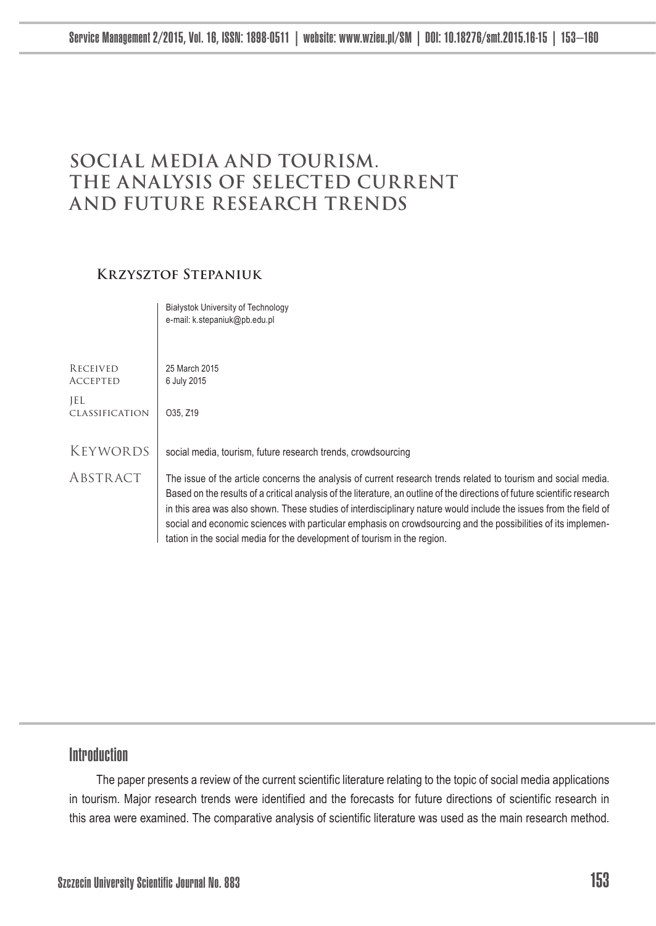# **Social media and tourism. The analysis of selected current and future research trends**

### **Krzysztof Stepaniuk**

Białystok University of Technology

|                             | e-mail: k.stepaniuk@pb.edu.pl                                                                                                                                                                                                                                                                                                                                                                                                                                                                                                                                 |
|-----------------------------|---------------------------------------------------------------------------------------------------------------------------------------------------------------------------------------------------------------------------------------------------------------------------------------------------------------------------------------------------------------------------------------------------------------------------------------------------------------------------------------------------------------------------------------------------------------|
|                             |                                                                                                                                                                                                                                                                                                                                                                                                                                                                                                                                                               |
| RECEIVED<br><b>ACCEPTED</b> | 25 March 2015<br>6 July 2015                                                                                                                                                                                                                                                                                                                                                                                                                                                                                                                                  |
| JEL<br>CLASSIFICATION       | O35, Z19                                                                                                                                                                                                                                                                                                                                                                                                                                                                                                                                                      |
| KEYWORDS                    | social media, tourism, future research trends, crowdsourcing                                                                                                                                                                                                                                                                                                                                                                                                                                                                                                  |
| ABSTRACT                    | The issue of the article concerns the analysis of current research trends related to tourism and social media.<br>Based on the results of a critical analysis of the literature, an outline of the directions of future scientific research<br>in this area was also shown. These studies of interdisciplinary nature would include the issues from the field of<br>social and economic sciences with particular emphasis on crowdsourcing and the possibilities of its implemen-<br>tation in the social media for the development of tourism in the region. |

## Introduction

The paper presents a review of the current scientific literature relating to the topic of social media applications in tourism. Major research trends were identified and the forecasts for future directions of scientific research in this area were examined. The comparative analysis of scientific literature was used as the main research method.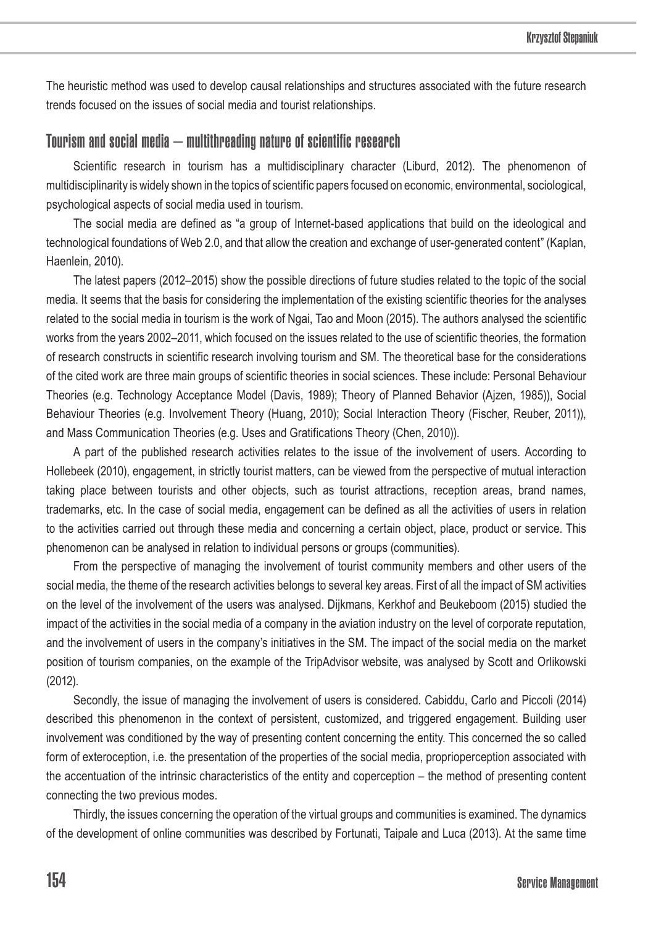The heuristic method was used to develop causal relationships and structures associated with the future research trends focused on the issues of social media and tourist relationships.

### Tourism and social media – multithreading nature of scientific research

Scientific research in tourism has a multidisciplinary character (Liburd, 2012). The phenomenon of multidisciplinarity is widely shown in the topics of scientific papers focused on economic, environmental, sociological, psychological aspects of social media used in tourism.

The social media are defined as "a group of Internet-based applications that build on the ideological and technological foundations of Web 2.0, and that allow the creation and exchange of user-generated content" (Kaplan, Haenlein, 2010).

The latest papers (2012–2015) show the possible directions of future studies related to the topic of the social media. It seems that the basis for considering the implementation of the existing scientific theories for the analyses related to the social media in tourism is the work of Ngai, Tao and Moon (2015). The authors analysed the scientific works from the years 2002–2011, which focused on the issues related to the use of scientific theories, the formation of research constructs in scientific research involving tourism and SM. The theoretical base for the considerations of the cited work are three main groups of scientific theories in social sciences. These include: Personal Behaviour Theories (e.g. Technology Acceptance Model (Davis, 1989); Theory of Planned Behavior (Ajzen, 1985)), Social Behaviour Theories (e.g. Involvement Theory (Huang, 2010); Social Interaction Theory (Fischer, Reuber, 2011)), and Mass Communication Theories (e.g. Uses and Gratifications Theory (Chen, 2010)).

A part of the published research activities relates to the issue of the involvement of users. According to Hollebeek (2010), engagement, in strictly tourist matters, can be viewed from the perspective of mutual interaction taking place between tourists and other objects, such as tourist attractions, reception areas, brand names, trademarks, etc. In the case of social media, engagement can be defined as all the activities of users in relation to the activities carried out through these media and concerning a certain object, place, product or service. This phenomenon can be analysed in relation to individual persons or groups (communities).

From the perspective of managing the involvement of tourist community members and other users of the social media, the theme of the research activities belongs to several key areas. First of all the impact of SM activities on the level of the involvement of the users was analysed. Dijkmans, Kerkhof and Beukeboom (2015) studied the impact of the activities in the social media of a company in the aviation industry on the level of corporate reputation, and the involvement of users in the company's initiatives in the SM. The impact of the social media on the market position of tourism companies, on the example of the TripAdvisor website, was analysed by Scott and Orlikowski (2012).

Secondly, the issue of managing the involvement of users is considered. Cabiddu, Carlo and Piccoli (2014) described this phenomenon in the context of persistent, customized, and triggered engagement. Building user involvement was conditioned by the way of presenting content concerning the entity. This concerned the so called form of exteroception, i.e. the presentation of the properties of the social media, proprioperception associated with the accentuation of the intrinsic characteristics of the entity and coperception – the method of presenting content connecting the two previous modes.

Thirdly, the issues concerning the operation of the virtual groups and communities is examined. The dynamics of the development of online communities was described by Fortunati, Taipale and Luca (2013). At the same time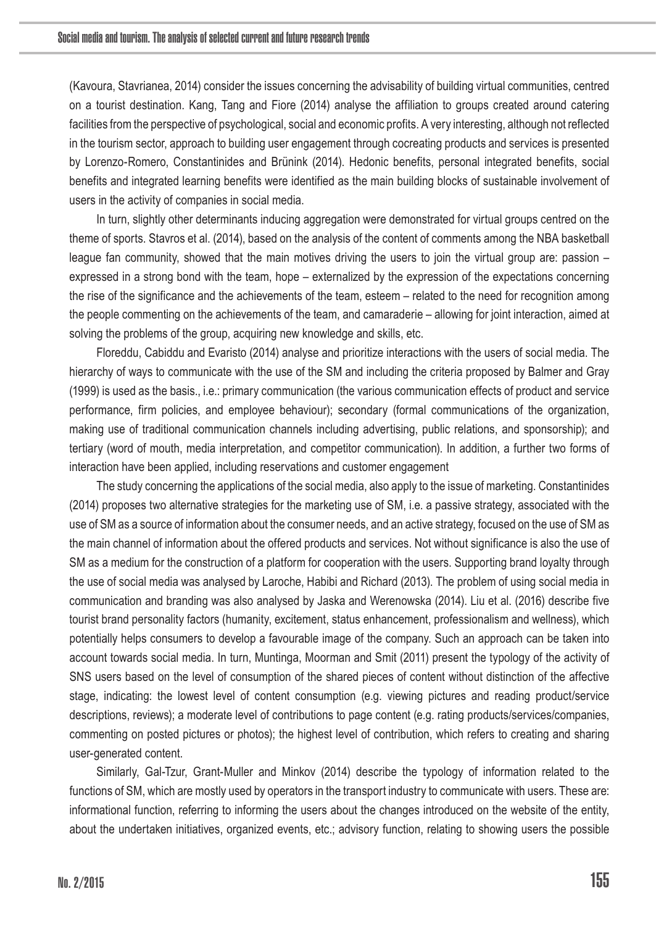(Kavoura, Stavrianea, 2014) consider the issues concerning the advisability of building virtual communities, centred on a tourist destination. Kang, Tang and Fiore (2014) analyse the affiliation to groups created around catering facilities from the perspective of psychological, social and economic profits. A very interesting, although not reflected in the tourism sector, approach to building user engagement through cocreating products and services is presented by Lorenzo-Romero, Constantinides and Brünink (2014). Hedonic benefits, personal integrated benefits, social benefits and integrated learning benefits were identified as the main building blocks of sustainable involvement of users in the activity of companies in social media.

In turn, slightly other determinants inducing aggregation were demonstrated for virtual groups centred on the theme of sports. Stavros et al. (2014), based on the analysis of the content of comments among the NBA basketball league fan community, showed that the main motives driving the users to join the virtual group are: passion – expressed in a strong bond with the team, hope – externalized by the expression of the expectations concerning the rise of the significance and the achievements of the team, esteem – related to the need for recognition among the people commenting on the achievements of the team, and camaraderie – allowing for joint interaction, aimed at solving the problems of the group, acquiring new knowledge and skills, etc.

Floreddu, Cabiddu and Evaristo (2014) analyse and prioritize interactions with the users of social media. The hierarchy of ways to communicate with the use of the SM and including the criteria proposed by Balmer and Gray (1999) is used as the basis., i.e.: primary communication (the various communication effects of product and service performance, firm policies, and employee behaviour); secondary (formal communications of the organization, making use of traditional communication channels including advertising, public relations, and sponsorship); and tertiary (word of mouth, media interpretation, and competitor communication). In addition, a further two forms of interaction have been applied, including reservations and customer engagement

The study concerning the applications of the social media, also apply to the issue of marketing. Constantinides (2014) proposes two alternative strategies for the marketing use of SM, i.e. a passive strategy, associated with the use of SM as a source of information about the consumer needs, and an active strategy, focused on the use of SM as the main channel of information about the offered products and services. Not without significance is also the use of SM as a medium for the construction of a platform for cooperation with the users. Supporting brand loyalty through the use of social media was analysed by Laroche, Habibi and Richard (2013). The problem of using social media in communication and branding was also analysed by Jaska and Werenowska (2014). Liu et al. (2016) describe five tourist brand personality factors (humanity, excitement, status enhancement, professionalism and wellness), which potentially helps consumers to develop a favourable image of the company. Such an approach can be taken into account towards social media. In turn, Muntinga, Moorman and Smit (2011) present the typology of the activity of SNS users based on the level of consumption of the shared pieces of content without distinction of the affective stage, indicating: the lowest level of content consumption (e.g. viewing pictures and reading product/service descriptions, reviews); a moderate level of contributions to page content (e.g. rating products/services/companies, commenting on posted pictures or photos); the highest level of contribution, which refers to creating and sharing user-generated content.

Similarly, Gal-Tzur, Grant-Muller and Minkov (2014) describe the typology of information related to the functions of SM, which are mostly used by operators in the transport industry to communicate with users. These are: informational function, referring to informing the users about the changes introduced on the website of the entity, about the undertaken initiatives, organized events, etc.; advisory function, relating to showing users the possible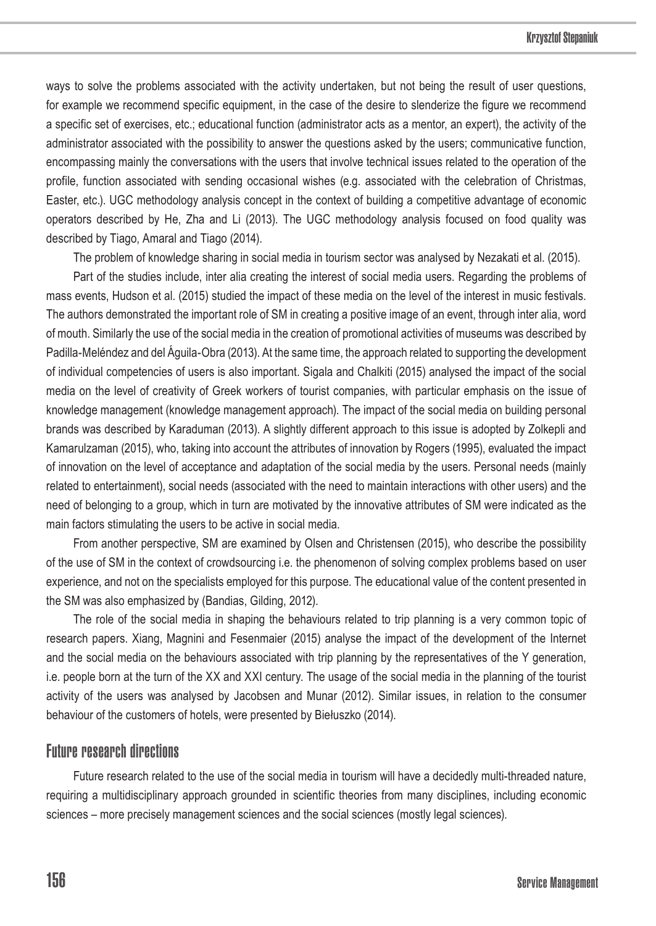ways to solve the problems associated with the activity undertaken, but not being the result of user questions, for example we recommend specific equipment, in the case of the desire to slenderize the figure we recommend a specific set of exercises, etc.; educational function (administrator acts as a mentor, an expert), the activity of the administrator associated with the possibility to answer the questions asked by the users; communicative function, encompassing mainly the conversations with the users that involve technical issues related to the operation of the profile, function associated with sending occasional wishes (e.g. associated with the celebration of Christmas, Easter, etc.). UGC methodology analysis concept in the context of building a competitive advantage of economic operators described by He, Zha and Li (2013). The UGC methodology analysis focused on food quality was described by Tiago, Amaral and Tiago (2014).

The problem of knowledge sharing in social media in tourism sector was analysed by Nezakati et al. (2015).

Part of the studies include, inter alia creating the interest of social media users. Regarding the problems of mass events, Hudson et al. (2015) studied the impact of these media on the level of the interest in music festivals. The authors demonstrated the important role of SM in creating a positive image of an event, through inter alia, word of mouth. Similarly the use of the social media in the creation of promotional activities of museums was described by Padilla-Meléndez and del Águila-Obra (2013). At the same time, the approach related to supporting the development of individual competencies of users is also important. Sigala and Chalkiti (2015) analysed the impact of the social media on the level of creativity of Greek workers of tourist companies, with particular emphasis on the issue of knowledge management (knowledge management approach). The impact of the social media on building personal brands was described by Karaduman (2013). A slightly different approach to this issue is adopted by Zolkepli and Kamarulzaman (2015), who, taking into account the attributes of innovation by Rogers (1995), evaluated the impact of innovation on the level of acceptance and adaptation of the social media by the users. Personal needs (mainly related to entertainment), social needs (associated with the need to maintain interactions with other users) and the need of belonging to a group, which in turn are motivated by the innovative attributes of SM were indicated as the main factors stimulating the users to be active in social media.

From another perspective, SM are examined by Olsen and Christensen (2015), who describe the possibility of the use of SM in the context of crowdsourcing i.e. the phenomenon of solving complex problems based on user experience, and not on the specialists employed for this purpose. The educational value of the content presented in the SM was also emphasized by (Bandias, Gilding, 2012).

The role of the social media in shaping the behaviours related to trip planning is a very common topic of research papers. Xiang, Magnini and Fesenmaier (2015) analyse the impact of the development of the Internet and the social media on the behaviours associated with trip planning by the representatives of the Y generation, i.e. people born at the turn of the XX and XXI century. The usage of the social media in the planning of the tourist activity of the users was analysed by Jacobsen and Munar (2012). Similar issues, in relation to the consumer behaviour of the customers of hotels, were presented by Biełuszko (2014).

### Future research directions

Future research related to the use of the social media in tourism will have a decidedly multi-threaded nature, requiring a multidisciplinary approach grounded in scientific theories from many disciplines, including economic sciences – more precisely management sciences and the social sciences (mostly legal sciences).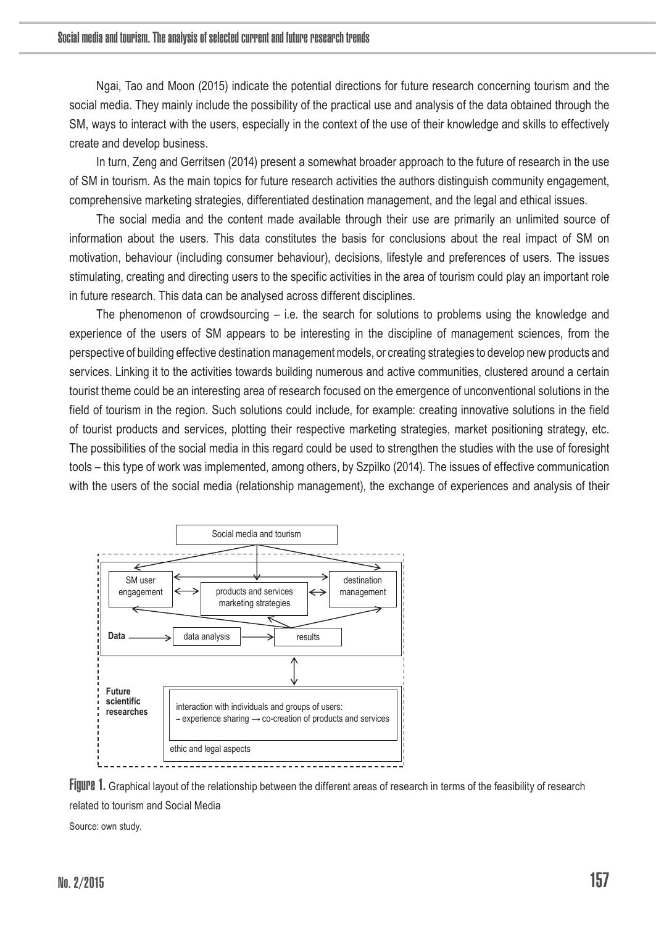Ngai, Tao and Moon (2015) indicate the potential directions for future research concerning tourism and the social media. They mainly include the possibility of the practical use and analysis of the data obtained through the SM, ways to interact with the users, especially in the context of the use of their knowledge and skills to effectively create and develop business.

In turn, Zeng and Gerritsen (2014) present a somewhat broader approach to the future of research in the use of SM in tourism. As the main topics for future research activities the authors distinguish community engagement, comprehensive marketing strategies, differentiated destination management, and the legal and ethical issues.

The social media and the content made available through their use are primarily an unlimited source of information about the users. This data constitutes the basis for conclusions about the real impact of SM on motivation, behaviour (including consumer behaviour), decisions, lifestyle and preferences of users. The issues stimulating, creating and directing users to the specific activities in the area of tourism could play an important role in future research. This data can be analysed across different disciplines.

The phenomenon of crowdsourcing  $-$  i.e. the search for solutions to problems using the knowledge and experience of the users of SM appears to be interesting in the discipline of management sciences, from the perspective of building effective destination management models, or creating strategies to develop new products and services. Linking it to the activities towards building numerous and active communities, clustered around a certain tourist theme could be an interesting area of research focused on the emergence of unconventional solutions in the field of tourism in the region. Such solutions could include, for example: creating innovative solutions in the field of tourist products and services, plotting their respective marketing strategies, market positioning strategy, etc. The possibilities of the social media in this regard could be used to strengthen the studies with the use of foresight tools – this type of work was implemented, among others, by Szpilko (2014). The issues of effective communication with the users of the social media (relationship management), the exchange of experiences and analysis of their



Figure 1. Graphical layout of the relationship between the different areas of research in terms of the feasibility of research related to tourism and Social Media

Source: own study.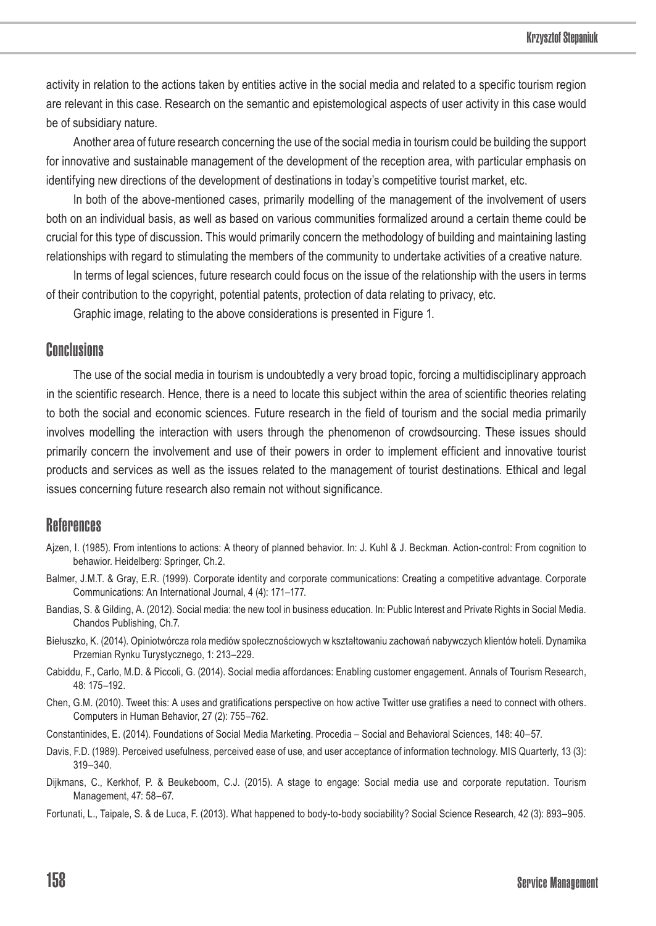activity in relation to the actions taken by entities active in the social media and related to a specific tourism region are relevant in this case. Research on the semantic and epistemological aspects of user activity in this case would be of subsidiary nature.

Another area of future research concerning the use of the social media in tourism could be building the support for innovative and sustainable management of the development of the reception area, with particular emphasis on identifying new directions of the development of destinations in today's competitive tourist market, etc.

In both of the above-mentioned cases, primarily modelling of the management of the involvement of users both on an individual basis, as well as based on various communities formalized around a certain theme could be crucial for this type of discussion. This would primarily concern the methodology of building and maintaining lasting relationships with regard to stimulating the members of the community to undertake activities of a creative nature.

In terms of legal sciences, future research could focus on the issue of the relationship with the users in terms of their contribution to the copyright, potential patents, protection of data relating to privacy, etc.

Graphic image, relating to the above considerations is presented in Figure 1.

### Conclusions

The use of the social media in tourism is undoubtedly a very broad topic, forcing a multidisciplinary approach in the scientific research. Hence, there is a need to locate this subject within the area of scientific theories relating to both the social and economic sciences. Future research in the field of tourism and the social media primarily involves modelling the interaction with users through the phenomenon of crowdsourcing. These issues should primarily concern the involvement and use of their powers in order to implement efficient and innovative tourist products and services as well as the issues related to the management of tourist destinations. Ethical and legal issues concerning future research also remain not without significance.

### References

- Ajzen, I. (1985). From intentions to actions: A theory of planned behavior. In: J. Kuhl & J. Beckman. Action-control: From cognition to behawior. Heidelberg: Springer, Ch.2.
- Balmer, J.M.T. & Gray, E.R. (1999). Corporate identity and corporate communications: Creating a competitive advantage. Corporate Communications: An International Journal, 4 (4): 171–177.
- Bandias, S. & Gilding, A. (2012). Social media: the new tool in business education. In: Public Interest and Private Rights in Social Media. Chandos Publishing, Ch.7.
- Biełuszko, K. (2014). Opiniotwórcza rola mediów społecznościowych w kształtowaniu zachowań nabywczych klientów hoteli. Dynamika Przemian Rynku Turystycznego, 1: 213–229.
- Cabiddu, F., Carlo, M.D. & Piccoli, G. (2014). Social media affordances: Enabling customer engagement. Annals of Tourism Research, 48: 175–192.
- Chen, G.M. (2010). Tweet this: A uses and gratifications perspective on how active Twitter use gratifies a need to connect with others. Computers in Human Behavior, 27 (2): 755–762.
- Constantinides, E. (2014). Foundations of Social Media Marketing. Procedia Social and Behavioral Sciences, 148: 40–57.
- Davis, F.D. (1989). Perceived usefulness, perceived ease of use, and user acceptance of information technology. MIS Quarterly, 13 (3): 319–340.
- Dijkmans, C., Kerkhof, P. & Beukeboom, C.J. (2015). A stage to engage: Social media use and corporate reputation. Tourism Management, 47: 58–67.
- Fortunati, L., Taipale, S. & de Luca, F. (2013). What happened to body-to-body sociability? Social Science Research, 42 (3): 893–905.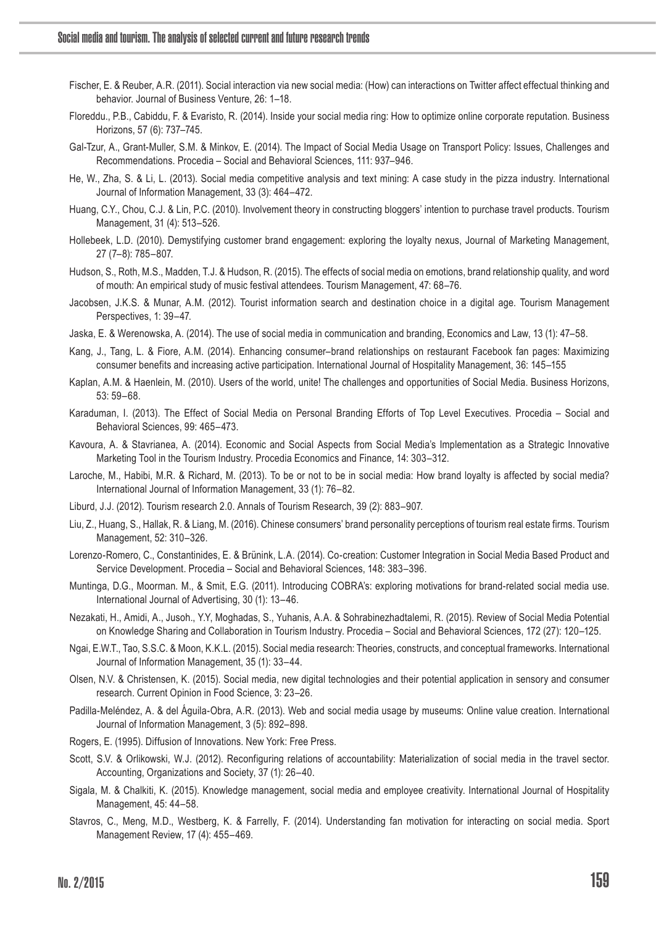- Fischer, E. & Reuber, A.R. (2011). Social interaction via new social media: (How) can interactions on Twitter affect effectual thinking and behavior. Journal of Business Venture, 26: 1–18.
- Floreddu., P.B., Cabiddu, F. & Evaristo, R. (2014). Inside your social media ring: How to optimize online corporate reputation. Business Horizons, 57 (6): 737–745.
- Gal-Tzur, A., Grant-Muller, S.M. & Minkov, E. (2014). The Impact of Social Media Usage on Transport Policy: Issues, Challenges and Recommendations. Procedia – Social and Behavioral Sciences, 111: 937–946.
- He, W., Zha, S. & Li, L. (2013). Social media competitive analysis and text mining: A case study in the pizza industry. International Journal of Information Management, 33 (3): 464–472.
- Huang, C.Y., Chou, C.J. & Lin, P.C. (2010). Involvement theory in constructing bloggers' intention to purchase travel products. Tourism Management, 31 (4): 513–526.
- Hollebeek, L.D. (2010). Demystifying customer brand engagement: exploring the loyalty nexus, Journal of Marketing Management, 27 (7–8): 785–807.
- Hudson, S., Roth, M.S., Madden, T.J. & Hudson, R. (2015). The effects of social media on emotions, brand relationship quality, and word of mouth: An empirical study of music festival attendees. Tourism Management, 47: 68–76.
- Jacobsen, J.K.S. & Munar, A.M. (2012). Tourist information search and destination choice in a digital age. Tourism Management Perspectives, 1: 39–47.
- Jaska, E. & Werenowska, A. (2014). The use of social media in communication and branding, Economics and Law, 13 (1): 47–58.
- Kang, J., Tang, L. & Fiore, A.M. (2014). Enhancing consumer–brand relationships on restaurant Facebook fan pages: Maximizing consumer benefits and increasing active participation. International Journal of Hospitality Management, 36: 145–155
- Kaplan, A.M. & Haenlein, M. (2010). Users of the world, unite! The challenges and opportunities of Social Media. Business Horizons, 53: 59–68.
- Karaduman, I. (2013). The Effect of Social Media on Personal Branding Efforts of Top Level Executives. Procedia Social and Behavioral Sciences, 99: 465–473.
- Kavoura, A. & Stavrianea, A. (2014). Economic and Social Aspects from Social Media's Implementation as a Strategic Innovative Marketing Tool in the Tourism Industry. Procedia Economics and Finance, 14: 303–312.
- Laroche, M., Habibi, M.R. & Richard, M. (2013). To be or not to be in social media: How brand loyalty is affected by social media? International Journal of Information Management, 33 (1): 76–82.
- Liburd, J.J. (2012). Tourism research 2.0. Annals of Tourism Research, 39 (2): 883–907.
- Liu, Z., Huang, S., Hallak, R. & Liang, M. (2016). Chinese consumers' brand personality perceptions of tourism real estate firms. Tourism Management, 52: 310–326.
- Lorenzo-Romero, C., Constantinides, E. & Brünink, L.A. (2014). Co-creation: Customer Integration in Social Media Based Product and Service Development. Procedia – Social and Behavioral Sciences, 148: 383–396.
- Muntinga, D.G., Moorman. M., & Smit, E.G. (2011). Introducing COBRA's: exploring motivations for brand-related social media use. International Journal of Advertising, 30 (1): 13–46.
- Nezakati, H., Amidi, A., Jusoh., Y.Y, Moghadas, S., Yuhanis, A.A. & Sohrabinezhadtalemi, R. (2015). Review of Social Media Potential on Knowledge Sharing and Collaboration in Tourism Industry. Procedia – Social and Behavioral Sciences, 172 (27): 120–125.
- Ngai, E.W.T., Tao, S.S.C. & Moon, K.K.L. (2015). Social media research: Theories, constructs, and conceptual frameworks. International Journal of Information Management, 35 (1): 33–44.
- Olsen, N.V. & Christensen, K. (2015). Social media, new digital technologies and their potential application in sensory and consumer research. Current Opinion in Food Science, 3: 23–26.
- Padilla-Meléndez, A. & del Águila-Obra, A.R. (2013). Web and social media usage by museums: Online value creation. International Journal of Information Management, 3 (5): 892–898.
- Rogers, E. (1995). Diffusion of Innovations. New York: Free Press.
- Scott, S.V. & Orlikowski, W.J. (2012). Reconfiguring relations of accountability: Materialization of social media in the travel sector. Accounting, Organizations and Society, 37 (1): 26–40.
- Sigala, M. & Chalkiti, K. (2015). Knowledge management, social media and employee creativity. International Journal of Hospitality Management, 45: 44–58.
- Stavros, C., Meng, M.D., Westberg, K. & Farrelly, F. (2014). Understanding fan motivation for interacting on social media. Sport Management Review, 17 (4): 455–469.